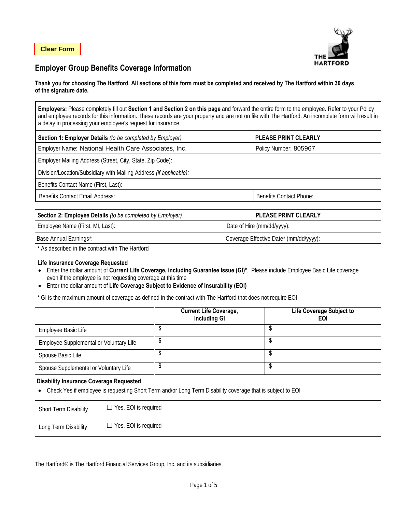

# **Employer Group Benefits Coverage Information**

#### **Thank you for choosing The Hartford. All sections of this form must be completed and received by The Hartford within 30 days of the signature date.**

**Employers:** Please completely fill out **Section 1 and Section 2 on this page** and forward the entire form to the employee. Refer to your Policy and employee records for this information. These records are your property and are not on file with The Hartford. An incomplete form will result in a delay in processing your employee's request for insurance.

| Section 1: Employer Details (to be completed by Employer)          | <b>PLEASE PRINT CLEARLY</b>    |  |  |  |  |
|--------------------------------------------------------------------|--------------------------------|--|--|--|--|
| Employer Name: National Health Care Associates, Inc.               | Policy Number: 805967          |  |  |  |  |
| Employer Mailing Address (Street, City, State, Zip Code):          |                                |  |  |  |  |
| Division/Location/Subsidiary with Mailing Address (if applicable): |                                |  |  |  |  |
| Benefits Contact Name (First, Last):                               |                                |  |  |  |  |
| <b>Benefits Contact Email Address:</b>                             | <b>Benefits Contact Phone:</b> |  |  |  |  |

| <b>Section 2: Employee Details</b> (to be completed by Employer) | <b>PLEASE PRINT CLEARLY</b>            |
|------------------------------------------------------------------|----------------------------------------|
| Employee Name (First, MI, Last):                                 | Date of Hire (mm/dd/yyyy):             |
| Base Annual Earnings*:                                           | Coverage Effective Date* (mm/dd/yyyy): |

\* As described in the contract with The Hartford

#### **Life Insurance Coverage Requested**

- Enter the dollar amount of **Current Life Coverage, including Guarantee Issue (GI)\***. Please include Employee Basic Life coverage even if the employee is not requesting coverage at this time
- Enter the dollar amount of **Life Coverage Subject to Evidence of Insurability (EOI)**
- \* GI is the maximum amount of coverage as defined in the contract with The Hartford that does not require EOI

|                                                                                                                                                                           | <b>Current Life Coverage,</b><br>including GI | Life Coverage Subject to<br>EOI |  |  |  |  |
|---------------------------------------------------------------------------------------------------------------------------------------------------------------------------|-----------------------------------------------|---------------------------------|--|--|--|--|
| Employee Basic Life                                                                                                                                                       | \$                                            | \$                              |  |  |  |  |
| Employee Supplemental or Voluntary Life                                                                                                                                   | \$                                            | \$                              |  |  |  |  |
| Spouse Basic Life                                                                                                                                                         | \$                                            | \$                              |  |  |  |  |
| Spouse Supplemental or Voluntary Life                                                                                                                                     | \$                                            | \$                              |  |  |  |  |
| <b>Disability Insurance Coverage Requested</b><br>Check Yes if employee is requesting Short Term and/or Long Term Disability coverage that is subject to EOI<br>$\bullet$ |                                               |                                 |  |  |  |  |
| $\Box$ Yes, EOI is required<br><b>Short Term Disability</b>                                                                                                               |                                               |                                 |  |  |  |  |
| $\Box$ Yes, EOI is required<br>Long Term Disability                                                                                                                       |                                               |                                 |  |  |  |  |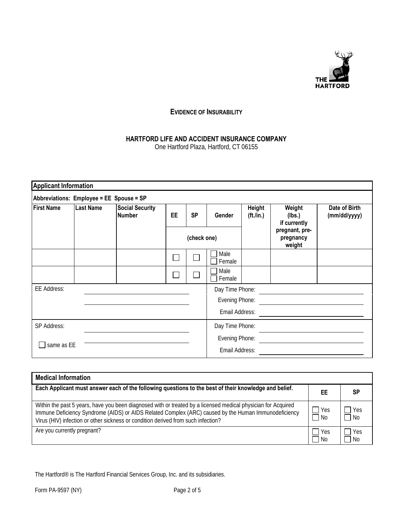

## **EVIDENCE OF INSURABILITY**

# **HARTFORD LIFE AND ACCIDENT INSURANCE COMPANY**

One Hartford Plaza, Hartford, CT 06155

| Abbreviations: Employee = EE Spouse = SP |                  |                                         |                |           |                 |                                     |                                       |                               |
|------------------------------------------|------------------|-----------------------------------------|----------------|-----------|-----------------|-------------------------------------|---------------------------------------|-------------------------------|
| <b>First Name</b>                        | <b>Last Name</b> | <b>Social Security</b><br><b>Number</b> | <b>EE</b>      | <b>SP</b> | Gender          | <b>Height</b><br>( <i>ft</i> ./in.) | Weight<br>(Ibs.)<br>if currently      | Date of Birth<br>(mm/dd/yyyy) |
|                                          |                  |                                         | (check one)    |           |                 |                                     | pregnant, pre-<br>pregnancy<br>weight |                               |
|                                          |                  |                                         |                |           | Male<br>Female  |                                     |                                       |                               |
|                                          |                  |                                         |                |           | Male<br>Female  |                                     |                                       |                               |
| <b>EE Address:</b>                       |                  |                                         |                |           | Day Time Phone: |                                     |                                       |                               |
|                                          |                  |                                         |                |           | Evening Phone:  |                                     |                                       |                               |
|                                          |                  |                                         |                |           | Email Address:  |                                     |                                       |                               |
| SP Address:                              |                  |                                         |                |           | Day Time Phone: |                                     |                                       |                               |
| same as EE                               |                  |                                         | Evening Phone: |           |                 |                                     |                                       |                               |
|                                          |                  |                                         | Email Address: |           |                 |                                     |                                       |                               |

| <b>Medical Information</b>                                                                                                                                                                                                                                                                                 |               |                    |
|------------------------------------------------------------------------------------------------------------------------------------------------------------------------------------------------------------------------------------------------------------------------------------------------------------|---------------|--------------------|
| Each Applicant must answer each of the following questions to the best of their knowledge and belief.                                                                                                                                                                                                      | EE            | SP                 |
| Within the past 5 years, have you been diagnosed with or treated by a licensed medical physician for Acquired<br>Immune Deficiency Syndrome (AIDS) or AIDS Related Complex (ARC) caused by the Human Immunodeficiency<br>Virus (HIV) infection or other sickness or condition derived from such infection? | l Yes<br>l No | <b>Yes</b><br>l No |
| Are you currently pregnant?                                                                                                                                                                                                                                                                                | Yes<br>- No   | Yes<br>No.         |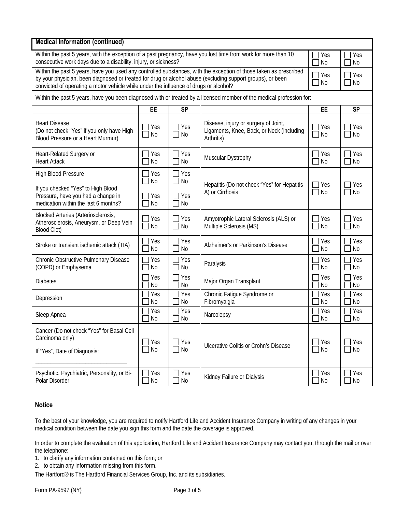| <b>Medical Information (continued)</b>                                                                                                                                                                                                                                                                                   |                        |                                             |                                                                                                                      |                             |                             |
|--------------------------------------------------------------------------------------------------------------------------------------------------------------------------------------------------------------------------------------------------------------------------------------------------------------------------|------------------------|---------------------------------------------|----------------------------------------------------------------------------------------------------------------------|-----------------------------|-----------------------------|
| Within the past 5 years, with the exception of a past pregnancy, have you lost time from work for more than 10<br>consecutive work days due to a disability, injury, or sickness?                                                                                                                                        |                        |                                             |                                                                                                                      |                             | Yes<br><b>No</b>            |
| Within the past 5 years, have you used any controlled substances, with the exception of those taken as prescribed<br>by your physician, been diagnosed or treated for drug or alcohol abuse (excluding support groups), or been<br>convicted of operating a motor vehicle while under the influence of drugs or alcohol? |                        |                                             |                                                                                                                      | Yes<br><b>No</b>            | Yes<br><b>No</b>            |
|                                                                                                                                                                                                                                                                                                                          |                        |                                             | Within the past 5 years, have you been diagnosed with or treated by a licensed member of the medical profession for: |                             |                             |
|                                                                                                                                                                                                                                                                                                                          | <b>EE</b>              | <b>SP</b>                                   |                                                                                                                      | EE                          | <b>SP</b>                   |
| <b>Heart Disease</b><br>(Do not check "Yes" if you only have High<br>Blood Pressure or a Heart Murmur)                                                                                                                                                                                                                   | Yes<br>No              | Yes<br><b>No</b>                            | Disease, injury or surgery of Joint,<br>Ligaments, Knee, Back, or Neck (including<br>Arthritis)                      | Yes<br>No                   | Yes<br>No                   |
| Heart-Related Surgery or<br><b>Heart Attack</b>                                                                                                                                                                                                                                                                          | Yes<br>No              | Yes<br><b>No</b>                            | Muscular Dystrophy                                                                                                   | Yes<br><b>No</b>            | Yes<br><b>No</b>            |
| <b>High Blood Pressure</b><br>If you checked "Yes" to High Blood<br>Pressure, have you had a change in<br>medication within the last 6 months?                                                                                                                                                                           | Yes<br>No<br>Yes<br>No | $\Box$ Yes<br>No<br>$\Box$ Yes<br><b>No</b> | Hepatitis (Do not check "Yes" for Hepatitis<br>A) or Cirrhosis                                                       | Yes<br><b>No</b><br>$\sim$  | Yes<br><b>No</b>            |
| <b>Blocked Arteries (Arteriosclerosis,</b><br>Atherosclerosis, Aneurysm, or Deep Vein<br><b>Blood Clot)</b>                                                                                                                                                                                                              | Yes<br>No              | Yes<br><b>No</b>                            | Amyotrophic Lateral Sclerosis (ALS) or<br>Multiple Sclerosis (MS)                                                    | Yes<br><b>No</b>            | Yes<br><b>No</b>            |
| Stroke or transient ischemic attack (TIA)                                                                                                                                                                                                                                                                                | Yes<br>No              | Yes<br><b>No</b>                            | Alzheimer's or Parkinson's Disease                                                                                   | Yes<br>No                   | Yes<br><b>No</b>            |
| Chronic Obstructive Pulmonary Disease<br>(COPD) or Emphysema                                                                                                                                                                                                                                                             | Yes<br>No              | Yes<br><b>No</b>                            | Paralysis                                                                                                            | Yes<br>No                   | Yes<br><b>No</b>            |
| <b>Diabetes</b>                                                                                                                                                                                                                                                                                                          | Yes<br><b>No</b>       | Yes<br><b>No</b>                            | Major Organ Transplant                                                                                               | Yes<br>No                   | Yes<br><b>No</b>            |
| Depression                                                                                                                                                                                                                                                                                                               | Yes<br>No              | Yes<br>N <sub>0</sub>                       | Chronic Fatigue Syndrome or<br>Fibromyalgia                                                                          | Yes<br>No                   | Yes<br><b>No</b>            |
| Sleep Apnea                                                                                                                                                                                                                                                                                                              | Yes<br>No              | Yes<br>No                                   | Narcolepsy                                                                                                           | Yes<br>No                   | Yes<br>No                   |
| Cancer (Do not check "Yes" for Basal Cell<br>Carcinoma only)<br>If "Yes", Date of Diagnosis:                                                                                                                                                                                                                             | Yes<br>No              | Yes<br>$\Box$ No                            | <b>Ulcerative Colitis or Crohn's Disease</b>                                                                         | Yes<br>No<br>$\blacksquare$ | Yes<br>No<br>$\blacksquare$ |
| Psychotic, Psychiatric, Personality, or Bi-<br>Polar Disorder                                                                                                                                                                                                                                                            | Yes<br>No              | Yes<br>No                                   | Kidney Failure or Dialysis                                                                                           | Yes<br>No                   | Yes<br>No                   |

### **Notice**

To the best of your knowledge, you are required to notify Hartford Life and Accident Insurance Company in writing of any changes in your medical condition between the date you sign this form and the date the coverage is approved.

In order to complete the evaluation of this application, Hartford Life and Accident Insurance Company may contact you, through the mail or over the telephone:

1. to clarify any information contained on this form; or

2. to obtain any information missing from this form.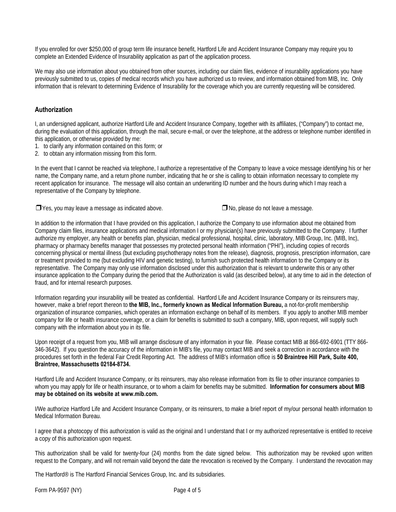If you enrolled for over \$250,000 of group term life insurance benefit, Hartford Life and Accident Insurance Company may require you to complete an Extended Evidence of Insurability application as part of the application process.

We may also use information about you obtained from other sources, including our claim files, evidence of insurability applications you have previously submitted to us, copies of medical records which you have authorized us to review, and information obtained from MIB, Inc. Only information that is relevant to determining Evidence of Insurability for the coverage which you are currently requesting will be considered.

#### **Authorization**

I, an undersigned applicant, authorize Hartford Life and Accident Insurance Company, together with its affiliates, ("Company") to contact me, during the evaluation of this application, through the mail, secure e-mail, or over the telephone, at the address or telephone number identified in this application, or otherwise provided by me:

- 1. to clarify any information contained on this form; or
- 2. to obtain any information missing from this form.

In the event that I cannot be reached via telephone, I authorize a representative of the Company to leave a voice message identifying his or her name, the Company name, and a return phone number, indicating that he or she is calling to obtain information necessary to complete my recent application for insurance. The message will also contain an underwriting ID number and the hours during which I may reach a representative of the Company by telephone.

❒Yes, you may leave a message as indicated above. ❒No, please do not leave a message.

In addition to the information that I have provided on this application, I authorize the Company to use information about me obtained from Company claim files, insurance applications and medical information I or my physician(s) have previously submitted to the Company. I further authorize my employer, any health or benefits plan, physician, medical professional, hospital, clinic, laboratory, MIB Group, Inc. (MIB, Inc), pharmacy or pharmacy benefits manager that possesses my protected personal health information ("PHI"), including copies of records concerning physical or mental illness (but excluding psychotherapy notes from the release), diagnosis, prognosis, prescription information, care or treatment provided to me (but excluding HIV and genetic testing), to furnish such protected health information to the Company or its representative. The Company may only use information disclosed under this authorization that is relevant to underwrite this or any other insurance application to the Company during the period that the Authorization is valid (as described below), at any time to aid in the detection of fraud, and for internal research purposes.

Information regarding your insurability will be treated as confidential. Hartford Life and Accident Insurance Company or its reinsurers may, however, make a brief report thereon to **the MIB, Inc., formerly known as Medical Information Bureau,** a not-for-profit membership organization of insurance companies, which operates an information exchange on behalf of its members. If you apply to another MIB member company for life or health insurance coverage, or a claim for benefits is submitted to such a company, MIB, upon request, will supply such company with the information about you in its file.

Upon receipt of a request from you, MIB will arrange disclosure of any information in your file. Please contact MIB at 866-692-6901 (TTY 866- 346-3642). If you question the accuracy of the information in MIB's file, you may contact MIB and seek a correction in accordance with the procedures set forth in the federal Fair Credit Reporting Act. The address of MIB's information office is **50 Braintree Hill Park, Suite 400, Braintree, Massachusetts 02184-8734.**

Hartford Life and Accident Insurance Company, or its reinsurers, may also release information from its file to other insurance companies to whom you may apply for life or health insurance, or to whom a claim for benefits may be submitted. **Information for consumers about MIB may be obtained on its website at www.mib.com.**

I/We authorize Hartford Life and Accident Insurance Company, or its reinsurers, to make a brief report of my/our personal health information to Medical Information Bureau.

I agree that a photocopy of this authorization is valid as the original and I understand that I or my authorized representative is entitled to receive a copy of this authorization upon request.

This authorization shall be valid for twenty-four (24) months from the date signed below. This authorization may be revoked upon written request to the Company, and will not remain valid beyond the date the revocation is received by the Company. I understand the revocation may